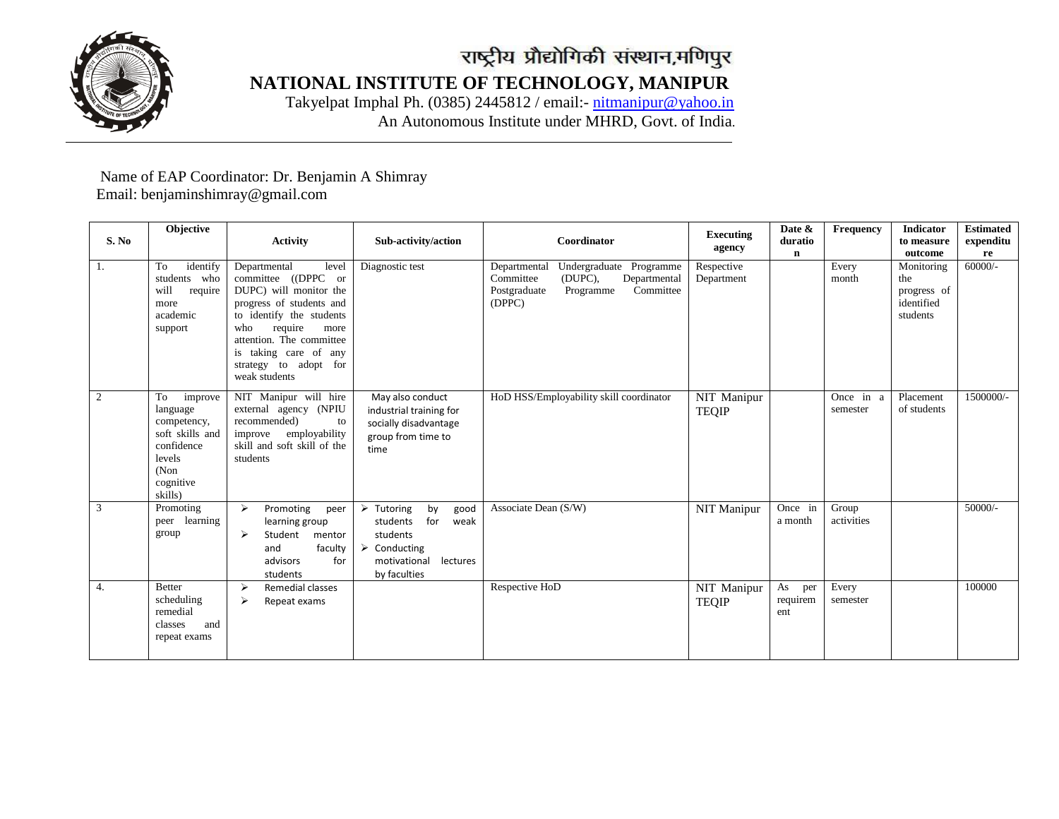

 **NATIONAL INSTITUTE OF TECHNOLOGY, MANIPUR**

 Takyelpat Imphal Ph. (0385) 2445812 / email:- [nitmanipur@yahoo.in](mailto:nitmanipur@yahoo.in) An Autonomous Institute under MHRD, Govt. of India.

## Name of EAP Coordinator: Dr. Benjamin A Shimray Email: benjaminshimray@gmail.com

| S. No            | <b>Objective</b>                                                                                                    | <b>Activity</b>                                                                                                                                                                                                                                         | Sub-activity/action                                                                                                                                       | Coordinator                                                                                                                         | <b>Executing</b><br>agency  | Date &<br>duratio<br>$\mathbf n$ | Frequency             | <b>Indicator</b><br>to measure<br>outcome                  | <b>Estimated</b><br>expenditu<br>re |
|------------------|---------------------------------------------------------------------------------------------------------------------|---------------------------------------------------------------------------------------------------------------------------------------------------------------------------------------------------------------------------------------------------------|-----------------------------------------------------------------------------------------------------------------------------------------------------------|-------------------------------------------------------------------------------------------------------------------------------------|-----------------------------|----------------------------------|-----------------------|------------------------------------------------------------|-------------------------------------|
| 1.               | identify<br>To<br>students who<br>will<br>require<br>more<br>academic<br>support                                    | Departmental<br>level<br>committee ((DPPC or<br>DUPC) will monitor the<br>progress of students and<br>to identify the students<br>require<br>more<br>who<br>attention. The committee<br>is taking care of any<br>strategy to adopt for<br>weak students | Diagnostic test                                                                                                                                           | Undergraduate Programme<br>Departmental<br>Committee<br>(DUPC),<br>Departmental<br>Committee<br>Postgraduate<br>Programme<br>(DPPC) | Respective<br>Department    |                                  | Every<br>month        | Monitoring<br>the<br>progress of<br>identified<br>students | $60000/-$                           |
| 2                | To<br>improve<br>language<br>competency,<br>soft skills and<br>confidence<br>levels<br>(Non<br>cognitive<br>skills) | NIT Manipur will hire<br>external agency (NPIU<br>recommended)<br>to<br>employability<br>improve<br>skill and soft skill of the<br>students                                                                                                             | May also conduct<br>industrial training for<br>socially disadvantage<br>group from time to<br>time                                                        | HoD HSS/Employability skill coordinator                                                                                             | NIT Manipur<br><b>TEQIP</b> |                                  | Once in a<br>semester | Placement<br>of students                                   | 1500000/-                           |
| 3                | Promoting<br>peer learning<br>group                                                                                 | $\rightarrow$<br>Promoting<br>peer<br>learning group<br>⋗<br>Student<br>mentor<br>faculty<br>and<br>advisors<br>for<br>students                                                                                                                         | $\triangleright$ Tutoring<br>by<br>good<br>for<br>students<br>weak<br>students<br>$\triangleright$ Conducting<br>lectures<br>motivational<br>by faculties | Associate Dean (S/W)                                                                                                                | NIT Manipur                 | Once in<br>a month               | Group<br>activities   |                                                            | $50000/-$                           |
| $\overline{4}$ . | <b>Better</b><br>scheduling<br>remedial<br>and<br>classes<br>repeat exams                                           | Remedial classes<br>$\rightarrow$<br>$\blacktriangleright$<br>Repeat exams                                                                                                                                                                              |                                                                                                                                                           | Respective HoD                                                                                                                      | NIT Manipur<br><b>TEQIP</b> | As<br>per<br>requirem<br>ent     | Every<br>semester     |                                                            | 100000                              |